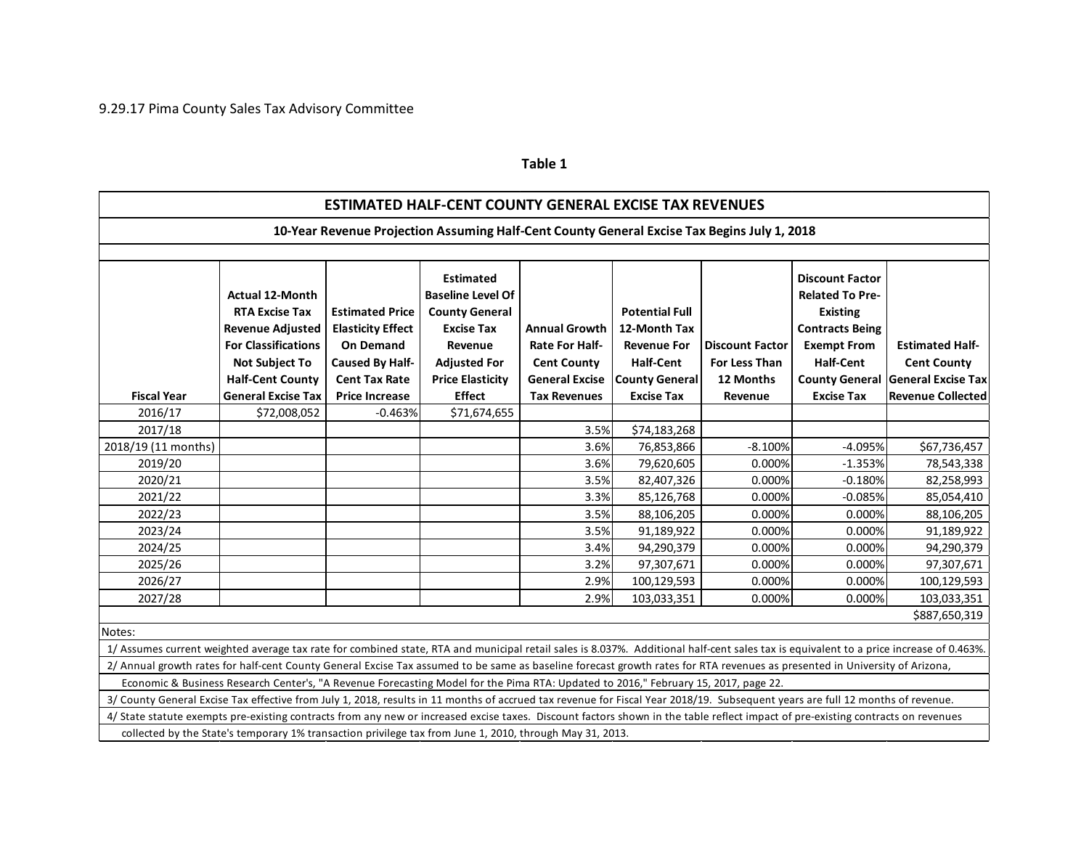## **Table 1**

| <b>ESTIMATED HALF-CENT COUNTY GENERAL EXCISE TAX REVENUES</b>                                                                                                                          |                                                                                                                                                              |                                                                                                                   |                                                                                                                                                         |                                                                                              |                                                                                                          |                                                             |                                                                                                                                         |                                                                                   |  |
|----------------------------------------------------------------------------------------------------------------------------------------------------------------------------------------|--------------------------------------------------------------------------------------------------------------------------------------------------------------|-------------------------------------------------------------------------------------------------------------------|---------------------------------------------------------------------------------------------------------------------------------------------------------|----------------------------------------------------------------------------------------------|----------------------------------------------------------------------------------------------------------|-------------------------------------------------------------|-----------------------------------------------------------------------------------------------------------------------------------------|-----------------------------------------------------------------------------------|--|
| 10-Year Revenue Projection Assuming Half-Cent County General Excise Tax Begins July 1, 2018                                                                                            |                                                                                                                                                              |                                                                                                                   |                                                                                                                                                         |                                                                                              |                                                                                                          |                                                             |                                                                                                                                         |                                                                                   |  |
|                                                                                                                                                                                        |                                                                                                                                                              |                                                                                                                   |                                                                                                                                                         |                                                                                              |                                                                                                          |                                                             |                                                                                                                                         |                                                                                   |  |
|                                                                                                                                                                                        | <b>Actual 12-Month</b><br><b>RTA Excise Tax</b><br><b>Revenue Adjusted</b><br><b>For Classifications</b><br><b>Not Subject To</b><br><b>Half-Cent County</b> | <b>Estimated Price</b><br><b>Elasticity Effect</b><br><b>On Demand</b><br>Caused By Half-<br><b>Cent Tax Rate</b> | <b>Estimated</b><br><b>Baseline Level Of</b><br><b>County General</b><br><b>Excise Tax</b><br>Revenue<br><b>Adjusted For</b><br><b>Price Elasticity</b> | <b>Annual Growth</b><br><b>Rate For Half-</b><br><b>Cent County</b><br><b>General Excise</b> | <b>Potential Full</b><br>12-Month Tax<br><b>Revenue For</b><br><b>Half-Cent</b><br><b>County General</b> | <b>Discount Factor</b><br><b>For Less Than</b><br>12 Months | <b>Discount Factor</b><br><b>Related To Pre-</b><br><b>Existing</b><br><b>Contracts Being</b><br><b>Exempt From</b><br><b>Half-Cent</b> | <b>Estimated Half-</b><br><b>Cent County</b><br>County General General Excise Tax |  |
| <b>Fiscal Year</b>                                                                                                                                                                     | <b>General Excise Tax</b>                                                                                                                                    | <b>Price Increase</b>                                                                                             | <b>Effect</b>                                                                                                                                           | <b>Tax Revenues</b>                                                                          | <b>Excise Tax</b>                                                                                        | Revenue                                                     | <b>Excise Tax</b>                                                                                                                       | <b>Revenue Collected</b>                                                          |  |
| 2016/17                                                                                                                                                                                | \$72,008,052                                                                                                                                                 | $-0.463%$                                                                                                         | \$71,674,655                                                                                                                                            |                                                                                              |                                                                                                          |                                                             |                                                                                                                                         |                                                                                   |  |
| 2017/18                                                                                                                                                                                |                                                                                                                                                              |                                                                                                                   |                                                                                                                                                         | 3.5%                                                                                         | \$74,183,268                                                                                             |                                                             |                                                                                                                                         |                                                                                   |  |
| 2018/19 (11 months)                                                                                                                                                                    |                                                                                                                                                              |                                                                                                                   |                                                                                                                                                         | 3.6%                                                                                         | 76,853,866                                                                                               | $-8.100%$                                                   | $-4.095%$                                                                                                                               | \$67,736,457                                                                      |  |
| 2019/20                                                                                                                                                                                |                                                                                                                                                              |                                                                                                                   |                                                                                                                                                         | 3.6%                                                                                         | 79,620,605                                                                                               | 0.000%                                                      | $-1.353%$                                                                                                                               | 78,543,338                                                                        |  |
| 2020/21                                                                                                                                                                                |                                                                                                                                                              |                                                                                                                   |                                                                                                                                                         | 3.5%                                                                                         | 82,407,326                                                                                               | 0.000%                                                      | $-0.180%$                                                                                                                               | 82,258,993                                                                        |  |
| 2021/22                                                                                                                                                                                |                                                                                                                                                              |                                                                                                                   |                                                                                                                                                         | 3.3%                                                                                         | 85,126,768                                                                                               | 0.000%                                                      | $-0.085%$                                                                                                                               | 85,054,410                                                                        |  |
| 2022/23                                                                                                                                                                                |                                                                                                                                                              |                                                                                                                   |                                                                                                                                                         | 3.5%                                                                                         | 88,106,205                                                                                               | 0.000%                                                      | 0.000%                                                                                                                                  | 88,106,205                                                                        |  |
| 2023/24                                                                                                                                                                                |                                                                                                                                                              |                                                                                                                   |                                                                                                                                                         | 3.5%                                                                                         | 91,189,922                                                                                               | 0.000%                                                      | 0.000%                                                                                                                                  | 91,189,922                                                                        |  |
| 2024/25                                                                                                                                                                                |                                                                                                                                                              |                                                                                                                   |                                                                                                                                                         | 3.4%                                                                                         | 94,290,379                                                                                               | 0.000%                                                      | 0.000%                                                                                                                                  | 94,290,379                                                                        |  |
| 2025/26                                                                                                                                                                                |                                                                                                                                                              |                                                                                                                   |                                                                                                                                                         | 3.2%                                                                                         | 97,307,671                                                                                               | 0.000%                                                      | 0.000%                                                                                                                                  | 97,307,671                                                                        |  |
| 2026/27                                                                                                                                                                                |                                                                                                                                                              |                                                                                                                   |                                                                                                                                                         | 2.9%                                                                                         | 100,129,593                                                                                              | 0.000%                                                      | 0.000%                                                                                                                                  | 100,129,593                                                                       |  |
| 2027/28                                                                                                                                                                                |                                                                                                                                                              |                                                                                                                   |                                                                                                                                                         | 2.9%                                                                                         | 103,033,351                                                                                              | 0.000%                                                      | 0.000%                                                                                                                                  | 103,033,351                                                                       |  |
| \$887,650,319                                                                                                                                                                          |                                                                                                                                                              |                                                                                                                   |                                                                                                                                                         |                                                                                              |                                                                                                          |                                                             |                                                                                                                                         |                                                                                   |  |
| Notes:                                                                                                                                                                                 |                                                                                                                                                              |                                                                                                                   |                                                                                                                                                         |                                                                                              |                                                                                                          |                                                             |                                                                                                                                         |                                                                                   |  |
| 1/ Assumes current weighted average tax rate for combined state, RTA and municipal retail sales is 8.037%. Additional half-cent sales tax is equivalent to a price increase of 0.463%. |                                                                                                                                                              |                                                                                                                   |                                                                                                                                                         |                                                                                              |                                                                                                          |                                                             |                                                                                                                                         |                                                                                   |  |
| 2/ Annual growth rates for half-cent County General Excise Tax assumed to be same as baseline forecast growth rates for RTA revenues as presented in University of Arizona,            |                                                                                                                                                              |                                                                                                                   |                                                                                                                                                         |                                                                                              |                                                                                                          |                                                             |                                                                                                                                         |                                                                                   |  |
| Economic & Business Research Center's, "A Revenue Forecasting Model for the Pima RTA: Updated to 2016," February 15, 2017, page 22.                                                    |                                                                                                                                                              |                                                                                                                   |                                                                                                                                                         |                                                                                              |                                                                                                          |                                                             |                                                                                                                                         |                                                                                   |  |
| 3/ County General Excise Tax effective from July 1, 2018, results in 11 months of accrued tax revenue for Fiscal Year 2018/19. Subsequent years are full 12 months of revenue.         |                                                                                                                                                              |                                                                                                                   |                                                                                                                                                         |                                                                                              |                                                                                                          |                                                             |                                                                                                                                         |                                                                                   |  |
| 4/ State statute exempts pre-existing contracts from any new or increased excise taxes. Discount factors shown in the table reflect impact of pre-existing contracts on revenues       |                                                                                                                                                              |                                                                                                                   |                                                                                                                                                         |                                                                                              |                                                                                                          |                                                             |                                                                                                                                         |                                                                                   |  |
|                                                                                                                                                                                        | collected by the State's temporary 1% transaction privilege tax from June 1, 2010, through May 31, 2013.                                                     |                                                                                                                   |                                                                                                                                                         |                                                                                              |                                                                                                          |                                                             |                                                                                                                                         |                                                                                   |  |